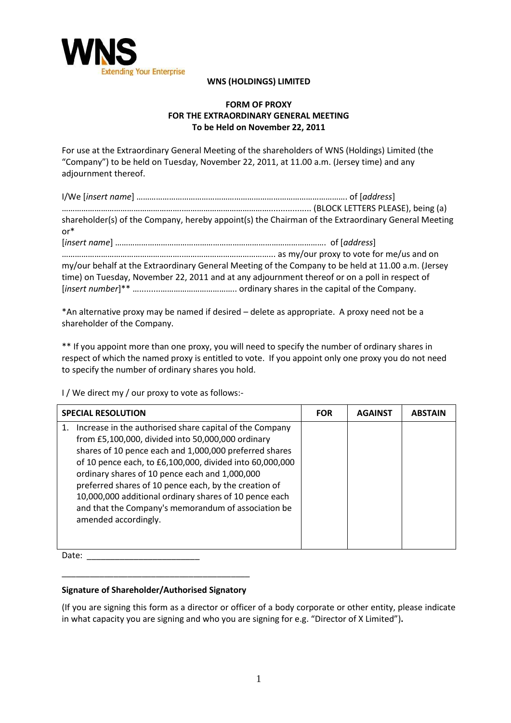

## **WNS (HOLDINGS) LIMITED**

## **FORM OF PROXY FOR THE EXTRAORDINARY GENERAL MEETING To be Held on November 22, 2011**

For use at the Extraordinary General Meeting of the shareholders of WNS (Holdings) Limited (the "Company") to be held on Tuesday, November 22, 2011, at 11.00 a.m. (Jersey time) and any adjournment thereof.

| shareholder(s) of the Company, hereby appoint(s) the Chairman of the Extraordinary General Meeting<br>$or*$                                                                                         |  |  |  |
|-----------------------------------------------------------------------------------------------------------------------------------------------------------------------------------------------------|--|--|--|
|                                                                                                                                                                                                     |  |  |  |
| my/our behalf at the Extraordinary General Meeting of the Company to be held at 11.00 a.m. (Jersey<br>time) on Tuesday, November 22, 2011 and at any adjournment thereof or on a poll in respect of |  |  |  |

\*An alternative proxy may be named if desired – delete as appropriate. A proxy need not be a shareholder of the Company.

\*\* If you appoint more than one proxy, you will need to specify the number of ordinary shares in respect of which the named proxy is entitled to vote. If you appoint only one proxy you do not need to specify the number of ordinary shares you hold.

I / We direct my / our proxy to vote as follows:-

|    | <b>SPECIAL RESOLUTION</b>                                                                                                                                                                                                                                                                                                                                                                                                                                                              | <b>FOR</b> | <b>AGAINST</b> | <b>ABSTAIN</b> |
|----|----------------------------------------------------------------------------------------------------------------------------------------------------------------------------------------------------------------------------------------------------------------------------------------------------------------------------------------------------------------------------------------------------------------------------------------------------------------------------------------|------------|----------------|----------------|
| 1. | Increase in the authorised share capital of the Company<br>from £5,100,000, divided into 50,000,000 ordinary<br>shares of 10 pence each and 1,000,000 preferred shares<br>of 10 pence each, to £6,100,000, divided into 60,000,000<br>ordinary shares of 10 pence each and 1,000,000<br>preferred shares of 10 pence each, by the creation of<br>10,000,000 additional ordinary shares of 10 pence each<br>and that the Company's memorandum of association be<br>amended accordingly. |            |                |                |

Date:

## \_\_\_\_\_\_\_\_\_\_\_\_\_\_\_\_\_\_\_\_\_\_\_\_\_\_\_\_\_\_\_\_\_\_\_\_\_\_\_\_ **Signature of Shareholder/Authorised Signatory**

(If you are signing this form as a director or officer of a body corporate or other entity, please indicate in what capacity you are signing and who you are signing for e.g. "Director of X Limited")**.**